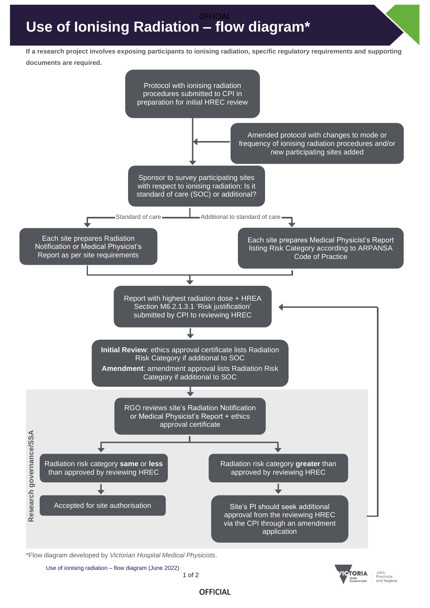## **Use of Ionising Radiation – flow diagram\*** OFFICIAL

**If a research project involves exposing participants to ionising radiation, specific regulatory requirements and supporting documents are required.**



\*Flow diagram developed by *Victorian Hospital Medical Physicists*.

 Use of ionising radiation – flow diagram (June 2022) 1 of 2 **TORIA** 

Jobs, Precincts and Regions

**OFFICIAL**